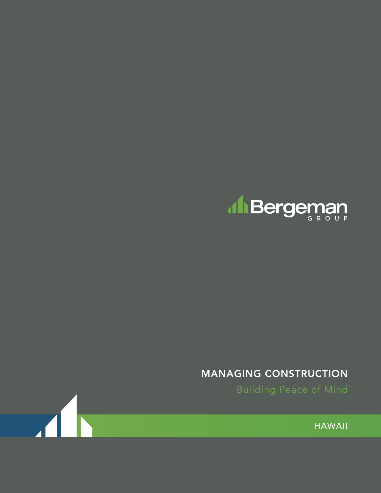

# MANAGING CONSTRUCTION

**Building Peace of Mind**<sup>58</sup>

HAWAII

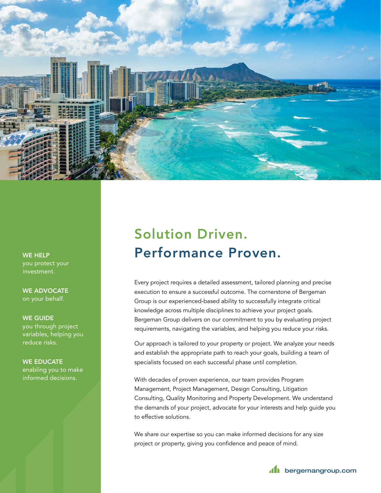

WE HELP you protect your investment.

WE ADVOCATE on your behalf.

#### WE GUIDE

you through project variables, helping you reduce risks.

### WE EDUCATE

enabling you to make informed decisions.

# Solution Driven. Performance Proven.

Every project requires a detailed assessment, tailored planning and precise execution to ensure a successful outcome. The cornerstone of Bergeman Group is our experienced-based ability to successfully integrate critical knowledge across multiple disciplines to achieve your project goals. Bergeman Group delivers on our commitment to you by evaluating project requirements, navigating the variables, and helping you reduce your risks.

Our approach is tailored to your property or project. We analyze your needs and establish the appropriate path to reach your goals, building a team of specialists focused on each successful phase until completion.

With decades of proven experience, our team provides Program Management, Project Management, Design Consulting, Litigation Consulting, Quality Monitoring and Property Development. We understand the demands of your project, advocate for your interests and help guide you to effective solutions.

We share our expertise so you can make informed decisions for any size project or property, giving you confidence and peace of mind.

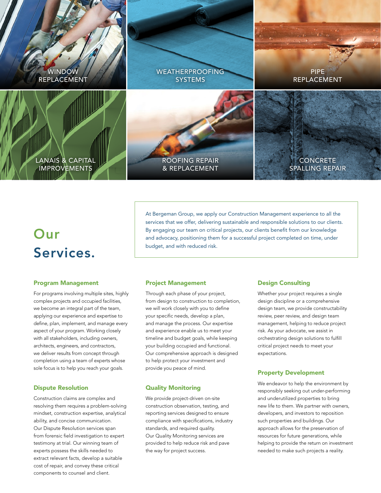

# Our Services.

## At Bergeman Group, we apply our Construction Management experience to all the services that we offer, delivering sustainable and responsible solutions to our clients. By engaging our team on critical projects, our clients benefit from our knowledge and advocacy, positioning them for a successful project completed on time, under budget, and with reduced risk.

#### Program Management

For programs involving multiple sites, highly complex projects and occupied facilities, we become an integral part of the team, applying our experience and expertise to define, plan, implement, and manage every aspect of your program. Working closely with all stakeholders, including owners, architects, engineers, and contractors, we deliver results from concept through completion using a team of experts whose sole focus is to help you reach your goals.

#### Dispute Resolution

Construction claims are complex and resolving them requires a problem-solving mindset, construction expertise, analytical ability, and concise communication. Our Dispute Resolution services span from forensic field investigation to expert testimony at trial. Our winning team of experts possess the skills needed to extract relevant facts, develop a suitable cost of repair, and convey these critical components to counsel and client.

#### Project Management

Through each phase of your project, from design to construction to completion, we will work closely with you to define your specific needs, develop a plan, and manage the process. Our expertise and experience enable us to meet your timeline and budget goals, while keeping your building occupied and functional. Our comprehensive approach is designed to help protect your investment and provide you peace of mind.

#### Quality Monitoring

We provide project-driven on-site construction observation, testing, and reporting services designed to ensure compliance with specifications, industry standards, and required quality. Our Quality Monitoring services are provided to help reduce risk and pave the way for project success.

#### Design Consulting

Whether your project requires a single design discipline or a comprehensive design team, we provide constructability review, peer review, and design team management, helping to reduce project risk. As your advocate, we assist in orchestrating design solutions to fulfill critical project needs to meet your expectations.

#### Property Development

We endeavor to help the environment by responsibly seeking out under-performing and underutilized properties to bring new life to them. We partner with owners, developers, and investors to reposition such properties and buildings. Our approach allows for the preservation of resources for future generations, while helping to provide the return on investment needed to make such projects a reality.